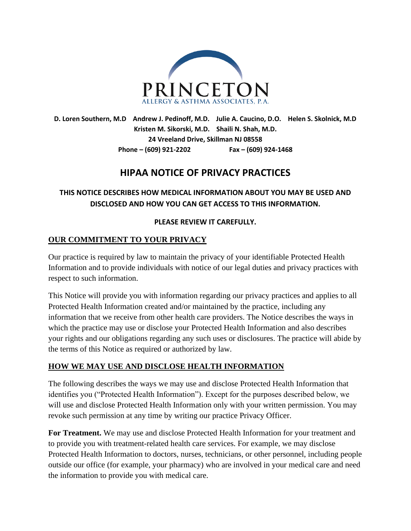

**D. Loren Southern, M.D Andrew J. Pedinoff, M.D. Julie A. Caucino, D.O. Helen S. Skolnick, M.D Kristen M. Sikorski, M.D. Shaili N. Shah, M.D. 24 Vreeland Drive, Skillman NJ 08558 Phone – (609) 921-2202 Fax – (609) 924-1468**

# **HIPAA NOTICE OF PRIVACY PRACTICES**

# **THIS NOTICE DESCRIBES HOW MEDICAL INFORMATION ABOUT YOU MAY BE USED AND DISCLOSED AND HOW YOU CAN GET ACCESS TO THIS INFORMATION.**

#### **PLEASE REVIEW IT CAREFULLY.**

### **OUR COMMITMENT TO YOUR PRIVACY**

Our practice is required by law to maintain the privacy of your identifiable Protected Health Information and to provide individuals with notice of our legal duties and privacy practices with respect to such information.

This Notice will provide you with information regarding our privacy practices and applies to all Protected Health Information created and/or maintained by the practice, including any information that we receive from other health care providers. The Notice describes the ways in which the practice may use or disclose your Protected Health Information and also describes your rights and our obligations regarding any such uses or disclosures. The practice will abide by the terms of this Notice as required or authorized by law.

#### **HOW WE MAY USE AND DISCLOSE HEALTH INFORMATION**

The following describes the ways we may use and disclose Protected Health Information that identifies you ("Protected Health Information"). Except for the purposes described below, we will use and disclose Protected Health Information only with your written permission. You may revoke such permission at any time by writing our practice Privacy Officer.

**For Treatment.** We may use and disclose Protected Health Information for your treatment and to provide you with treatment-related health care services. For example, we may disclose Protected Health Information to doctors, nurses, technicians, or other personnel, including people outside our office (for example, your pharmacy) who are involved in your medical care and need the information to provide you with medical care.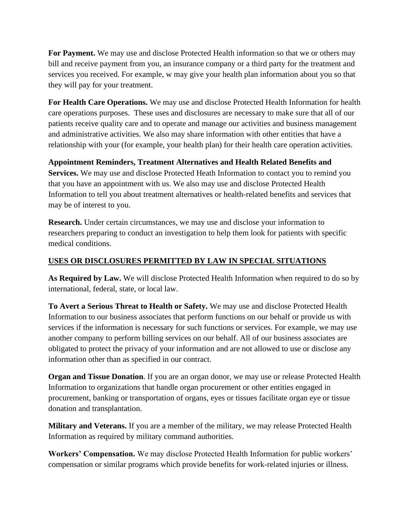**For Payment.** We may use and disclose Protected Health information so that we or others may bill and receive payment from you, an insurance company or a third party for the treatment and services you received. For example, w may give your health plan information about you so that they will pay for your treatment.

**For Health Care Operations.** We may use and disclose Protected Health Information for health care operations purposes. These uses and disclosures are necessary to make sure that all of our patients receive quality care and to operate and manage our activities and business management and administrative activities. We also may share information with other entities that have a relationship with your (for example, your health plan) for their health care operation activities.

**Appointment Reminders, Treatment Alternatives and Health Related Benefits and Services.** We may use and disclose Protected Heath Information to contact you to remind you that you have an appointment with us. We also may use and disclose Protected Health Information to tell you about treatment alternatives or health-related benefits and services that may be of interest to you.

**Research.** Under certain circumstances, we may use and disclose your information to researchers preparing to conduct an investigation to help them look for patients with specific medical conditions.

#### **USES OR DISCLOSURES PERMITTED BY LAW IN SPECIAL SITUATIONS**

**As Required by Law.** We will disclose Protected Health Information when required to do so by international, federal, state, or local law.

**To Avert a Serious Threat to Health or Safety.** We may use and disclose Protected Health Information to our business associates that perform functions on our behalf or provide us with services if the information is necessary for such functions or services. For example, we may use another company to perform billing services on our behalf. All of our business associates are obligated to protect the privacy of your information and are not allowed to use or disclose any information other than as specified in our contract.

**Organ and Tissue Donation**. If you are an organ donor, we may use or release Protected Health Information to organizations that handle organ procurement or other entities engaged in procurement, banking or transportation of organs, eyes or tissues facilitate organ eye or tissue donation and transplantation.

**Military and Veterans.** If you are a member of the military, we may release Protected Health Information as required by military command authorities.

**Workers' Compensation.** We may disclose Protected Health Information for public workers' compensation or similar programs which provide benefits for work-related injuries or illness.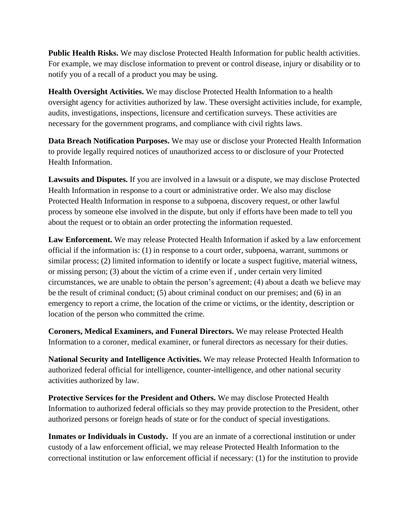**Public Health Risks.** We may disclose Protected Health Information for public health activities. For example, we may disclose information to prevent or control disease, injury or disability or to notify you of a recall of a product you may be using.

**Health Oversight Activities.** We may disclose Protected Health Information to a health oversight agency for activities authorized by law. These oversight activities include, for example, audits, investigations, inspections, licensure and certification surveys. These activities are necessary for the government programs, and compliance with civil rights laws.

**Data Breach Notification Purposes.** We may use or disclose your Protected Health Information to provide legally required notices of unauthorized access to or disclosure of your Protected Health Information.

**Lawsuits and Disputes.** If you are involved in a lawsuit or a dispute, we may disclose Protected Health Information in response to a court or administrative order. We also may disclose Protected Health Information in response to a subpoena, discovery request, or other lawful process by someone else involved in the dispute, but only if efforts have been made to tell you about the request or to obtain an order protecting the information requested.

**Law Enforcement.** We may release Protected Health Information if asked by a law enforcement official if the information is: (1) in response to a court order, subpoena, warrant, summons or similar process; (2) limited information to identify or locate a suspect fugitive, material witness, or missing person; (3) about the victim of a crime even if , under certain very limited circumstances, we are unable to obtain the person's agreement; (4) about a death we believe may be the result of criminal conduct; (5) about criminal conduct on our premises; and (6) in an emergency to report a crime, the location of the crime or victims, or the identity, description or location of the person who committed the crime.

**Coroners, Medical Examiners, and Funeral Directors.** We may release Protected Health Information to a coroner, medical examiner, or funeral directors as necessary for their duties.

**National Security and Intelligence Activities.** We may release Protected Health Information to authorized federal official for intelligence, counter-intelligence, and other national security activities authorized by law.

**Protective Services for the President and Others.** We may disclose Protected Health Information to authorized federal officials so they may provide protection to the President, other authorized persons or foreign heads of state or for the conduct of special investigations.

**Inmates or Individuals in Custody.** If you are an inmate of a correctional institution or under custody of a law enforcement official, we may release Protected Health Information to the correctional institution or law enforcement official if necessary: (1) for the institution to provide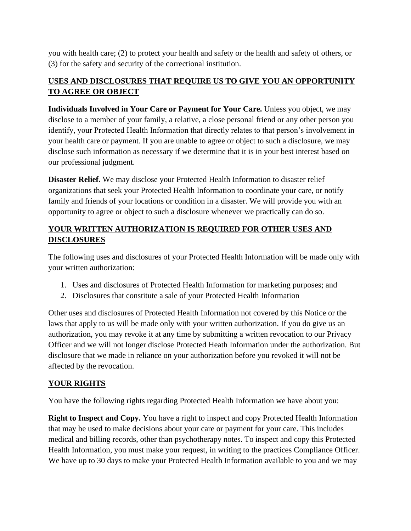you with health care; (2) to protect your health and safety or the health and safety of others, or (3) for the safety and security of the correctional institution.

## **USES AND DISCLOSURES THAT REQUIRE US TO GIVE YOU AN OPPORTUNITY TO AGREE OR OBJECT**

**Individuals Involved in Your Care or Payment for Your Care.** Unless you object, we may disclose to a member of your family, a relative, a close personal friend or any other person you identify, your Protected Health Information that directly relates to that person's involvement in your health care or payment. If you are unable to agree or object to such a disclosure, we may disclose such information as necessary if we determine that it is in your best interest based on our professional judgment.

**Disaster Relief.** We may disclose your Protected Health Information to disaster relief organizations that seek your Protected Health Information to coordinate your care, or notify family and friends of your locations or condition in a disaster. We will provide you with an opportunity to agree or object to such a disclosure whenever we practically can do so.

# **YOUR WRITTEN AUTHORIZATION IS REQUIRED FOR OTHER USES AND DISCLOSURES**

The following uses and disclosures of your Protected Health Information will be made only with your written authorization:

- 1. Uses and disclosures of Protected Health Information for marketing purposes; and
- 2. Disclosures that constitute a sale of your Protected Health Information

Other uses and disclosures of Protected Health Information not covered by this Notice or the laws that apply to us will be made only with your written authorization. If you do give us an authorization, you may revoke it at any time by submitting a written revocation to our Privacy Officer and we will not longer disclose Protected Heath Information under the authorization. But disclosure that we made in reliance on your authorization before you revoked it will not be affected by the revocation.

# **YOUR RIGHTS**

You have the following rights regarding Protected Health Information we have about you:

**Right to Inspect and Copy.** You have a right to inspect and copy Protected Health Information that may be used to make decisions about your care or payment for your care. This includes medical and billing records, other than psychotherapy notes. To inspect and copy this Protected Health Information, you must make your request, in writing to the practices Compliance Officer. We have up to 30 days to make your Protected Health Information available to you and we may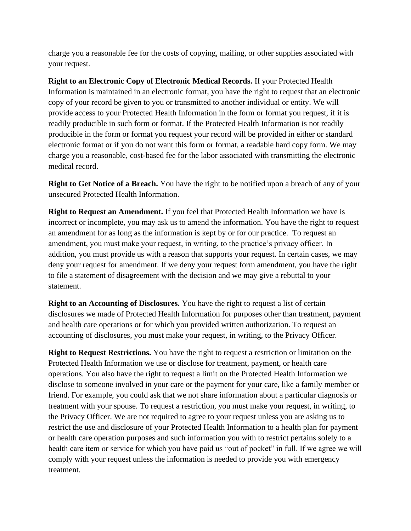charge you a reasonable fee for the costs of copying, mailing, or other supplies associated with your request.

**Right to an Electronic Copy of Electronic Medical Records.** If your Protected Health Information is maintained in an electronic format, you have the right to request that an electronic copy of your record be given to you or transmitted to another individual or entity. We will provide access to your Protected Health Information in the form or format you request, if it is readily producible in such form or format. If the Protected Health Information is not readily producible in the form or format you request your record will be provided in either or standard electronic format or if you do not want this form or format, a readable hard copy form. We may charge you a reasonable, cost-based fee for the labor associated with transmitting the electronic medical record.

**Right to Get Notice of a Breach.** You have the right to be notified upon a breach of any of your unsecured Protected Health Information.

**Right to Request an Amendment.** If you feel that Protected Health Information we have is incorrect or incomplete, you may ask us to amend the information. You have the right to request an amendment for as long as the information is kept by or for our practice. To request an amendment, you must make your request, in writing, to the practice's privacy officer. In addition, you must provide us with a reason that supports your request. In certain cases, we may deny your request for amendment. If we deny your request form amendment, you have the right to file a statement of disagreement with the decision and we may give a rebuttal to your statement.

**Right to an Accounting of Disclosures.** You have the right to request a list of certain disclosures we made of Protected Health Information for purposes other than treatment, payment and health care operations or for which you provided written authorization. To request an accounting of disclosures, you must make your request, in writing, to the Privacy Officer.

**Right to Request Restrictions.** You have the right to request a restriction or limitation on the Protected Health Information we use or disclose for treatment, payment, or health care operations. You also have the right to request a limit on the Protected Health Information we disclose to someone involved in your care or the payment for your care, like a family member or friend. For example, you could ask that we not share information about a particular diagnosis or treatment with your spouse. To request a restriction, you must make your request, in writing, to the Privacy Officer. We are not required to agree to your request unless you are asking us to restrict the use and disclosure of your Protected Health Information to a health plan for payment or health care operation purposes and such information you with to restrict pertains solely to a health care item or service for which you have paid us "out of pocket" in full. If we agree we will comply with your request unless the information is needed to provide you with emergency treatment.